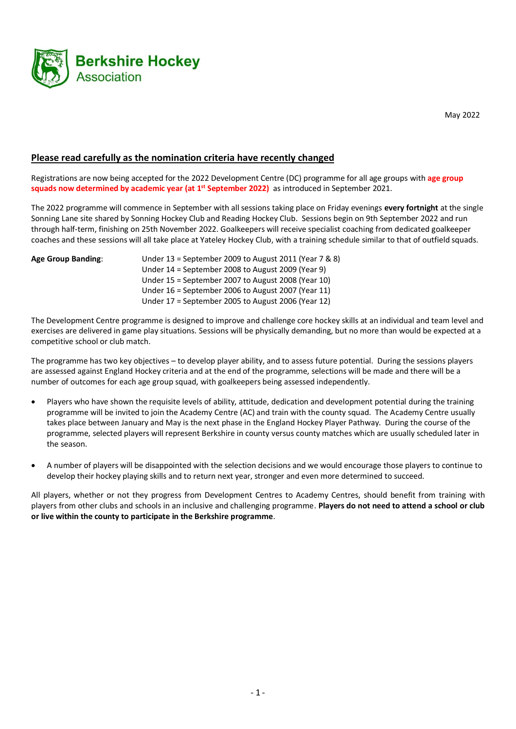

May 2022

## **Please read carefully as the nomination criteria have recently changed**

Registrations are now being accepted for the 2022 Development Centre (DC) programme for all age groups with **age group squads now determined by academic year (at 1st September 2022)** as introduced in September 2021.

The 2022 programme will commence in September with all sessions taking place on Friday evenings **every fortnight** at the single Sonning Lane site shared by Sonning Hockey Club and Reading Hockey Club. Sessions begin on 9th September 2022 and run through half-term, finishing on 25th November 2022. Goalkeepers will receive specialist coaching from dedicated goalkeeper coaches and these sessions will all take place at Yateley Hockey Club, with a training schedule similar to that of outfield squads.

| <b>Age Group Banding:</b> | Under 13 = September 2009 to August 2011 (Year 7 & 8) |
|---------------------------|-------------------------------------------------------|
|                           | Under $14$ = September 2008 to August 2009 (Year 9)   |
|                           | Under $15$ = September 2007 to August 2008 (Year 10)  |
|                           | Under $16$ = September 2006 to August 2007 (Year 11)  |
|                           | Under $17$ = September 2005 to August 2006 (Year 12)  |

The Development Centre programme is designed to improve and challenge core hockey skills at an individual and team level and exercises are delivered in game play situations. Sessions will be physically demanding, but no more than would be expected at a competitive school or club match.

The programme has two key objectives – to develop player ability, and to assess future potential. During the sessions players are assessed against England Hockey criteria and at the end of the programme, selections will be made and there will be a number of outcomes for each age group squad, with goalkeepers being assessed independently.

- Players who have shown the requisite levels of ability, attitude, dedication and development potential during the training programme will be invited to join the Academy Centre (AC) and train with the county squad. The Academy Centre usually takes place between January and May is the next phase in the England Hockey Player Pathway. During the course of the programme, selected players will represent Berkshire in county versus county matches which are usually scheduled later in the season.
- A number of players will be disappointed with the selection decisions and we would encourage those players to continue to develop their hockey playing skills and to return next year, stronger and even more determined to succeed.

All players, whether or not they progress from Development Centres to Academy Centres, should benefit from training with players from other clubs and schools in an inclusive and challenging programme. **Players do not need to attend a school or club or live within the county to participate in the Berkshire programme**.